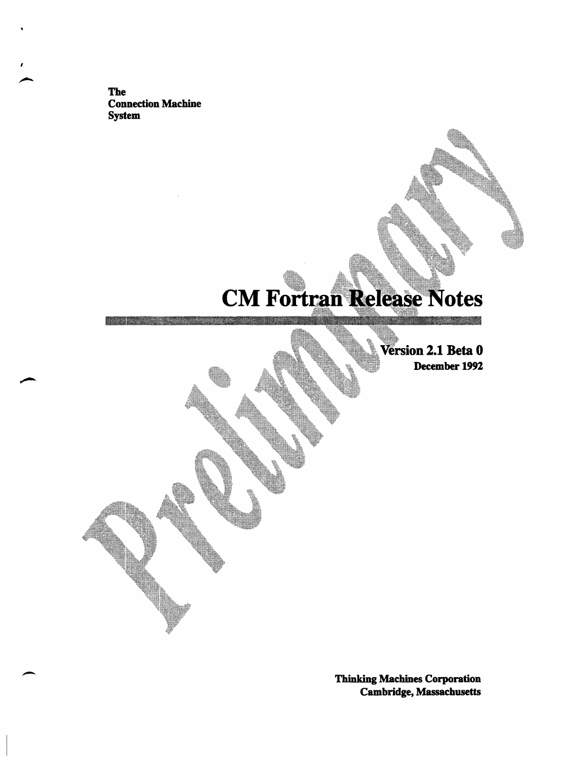**The Connection Machine System** 

<u>ana mampiasa na matang na </u>

# **CM Fortran Release Notes**

Version 2.1 Beta 0 December 1992

\_\_\_\_\_\_\_\_\_\_

**Thinking Machines Corporation Cambridge, Massachusetts**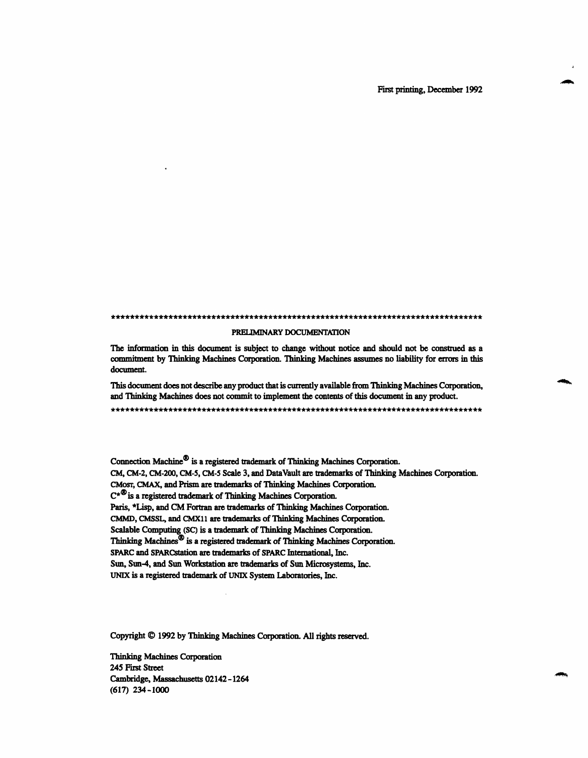#### . . . .. .. .. . .. ... I... ... ... ... .. .. .. .. ..... .. .. .. ..

#### PRELIMINARY DOCUMENTATION

The information in this document is subject to change without notice and should not be construed as a commitment by Thinking Machines Corporation. Thinking Machines assumes no liability for errors in this document.

This document does not describe any product that is currently available from Thinking Machines Corporation, and Thinking Machines does not commit to implement the contents of this document in any product.

Connection Machine® is a registered trademark of Thinking Machines Corporation. CM, CM-2, CM-200, CM-5, CM-5 Scale 3, and DataVault are trademarks of Thinking Machines Corporation. CMosr, CMAX, and Prism are trademarks of Thinking Machines Corporation.  $C^{\star\,bigcirc}$  is a registered trademark of Thinking Machines Corporation. Paris, \*Lisp, and CM Fortran are trademarks of Thinking Machines Corporation. CMMD, CMSSL, and CMX11 are trademarks of Thinking Machines Corporation. Scalable Computing (SC) is a trademark of Thinking Machines Corporation. Thinking Machines® is a registered trademark of Thinking Machines Corporation. SPARC and SPARCstation are trademarks of SPARC International, Inc. Sun, Sun-4, and Sun Workstation are trademarks of Sun Microsystems, Inc. UNIX is a registered trademark of UNIX System Laboratories, Inc.

Copyright © 1992 by Thinking Machines Corporation. All rights reserved.

Thinking Machines Corporation 245 First Street Cambridge, Massachusetts 02142-1264 (617) 234-1000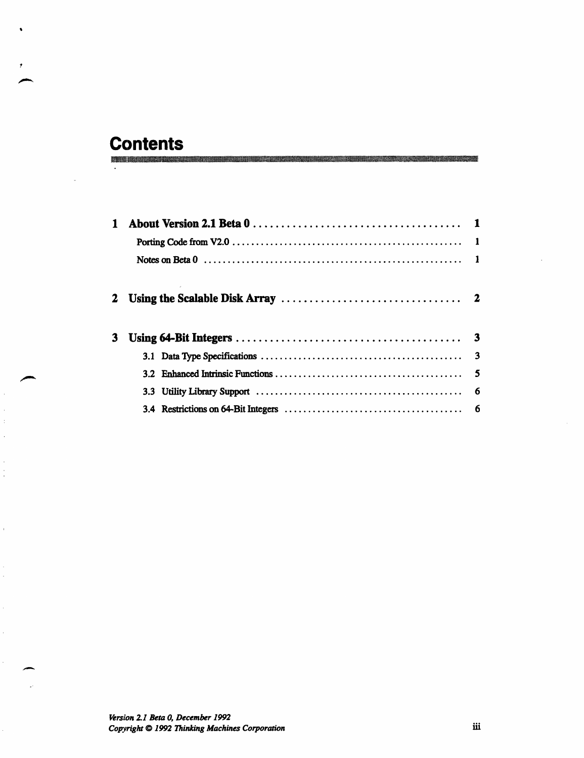# **Contents**

 $\ddot{\phantom{a}}$ 

 $\ddot{\phantom{a}}$ 

 $\frac{1}{2}$ 

 $\overline{\overline{z}}$ 

| $\mathbf{1}$ |  |
|--------------|--|
|              |  |
|              |  |
|              |  |
| 3            |  |
|              |  |
|              |  |
|              |  |
|              |  |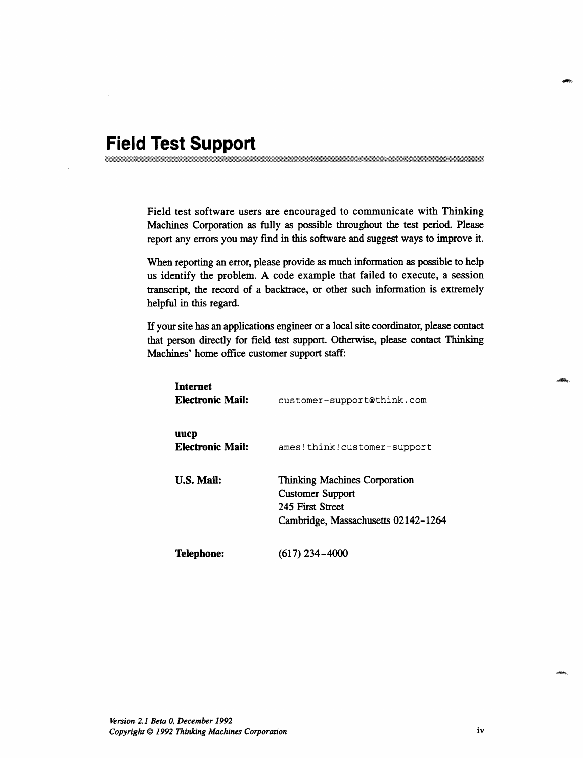## **Field Test Support**

Field test software users are encouraged to communicate with Thinking Machines Corporation as fully as possible throughout the test period. Please report any errors you may find in this software and suggest ways to improve it.

......... \_.\_.., x.M.~.~~iM o.~, ...........

When reporting an error, please provide as much information as possible to help us identify the problem. A code example that failed to execute, a session transcript, the record of a backtrace, or other such information is extremely helpful in this regard.

If your site has an applications engineer or a local site coordinator, please contact that person directly for field test support. Otherwise, please contact Thinking Machines' home office customer support staff:

| Internet<br>Electronic Mail: | customer-support@think.com                                                                                                 |
|------------------------------|----------------------------------------------------------------------------------------------------------------------------|
| uucp<br>Electronic Mail:     | ames!think!customer-support                                                                                                |
| <b>U.S. Mail:</b>            | <b>Thinking Machines Corporation</b><br><b>Customer Support</b><br>245 First Street<br>Cambridge, Massachusetts 02142-1264 |
| Telephone:                   | $(617)$ 234 – 4000                                                                                                         |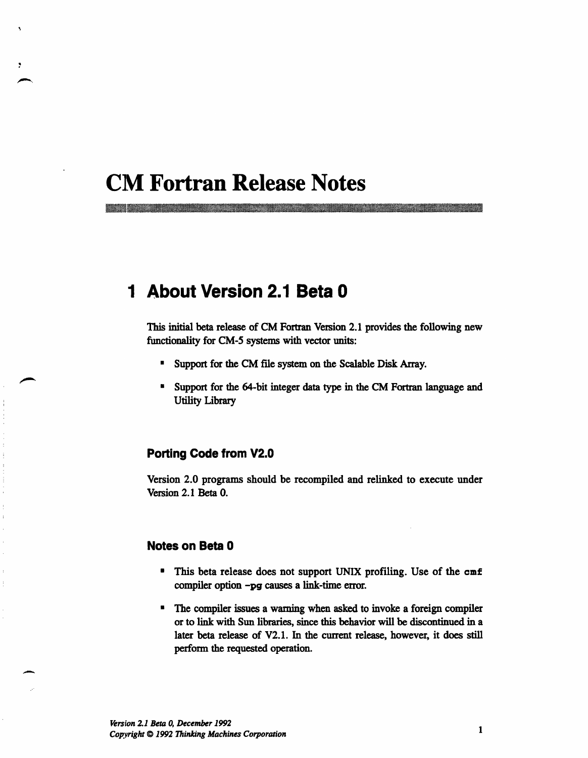## **CM Fortran Release Notes**

mm.

## **1 About Version 2.1 Beta 0**

This initial beta release of CM Fortran Version 2.1 provides the following new functionality for CM-5 systems with vector units:

- Support for the CM file system on the Scalable Disk Array.
- \* Support for the 64-bit integer data type in the CM Fortran language and Utility Library

#### **Porting Code from V2.0**

Version 2.0 programs should be recompiled and relinked to execute under Version 2.1 Beta 0.

#### **Notes on Beta 0**

- \* This beta release does not support UNIX profiling. Use of the cmf compiler option -pg causes a link-time error.
- \* The compiler issues a warning when asked to invoke a foreign compiler or to link with Sun libraries, since this behavior will be discontinued in a later beta release of V2.1. In the current release, however, it does still perform the requested operation.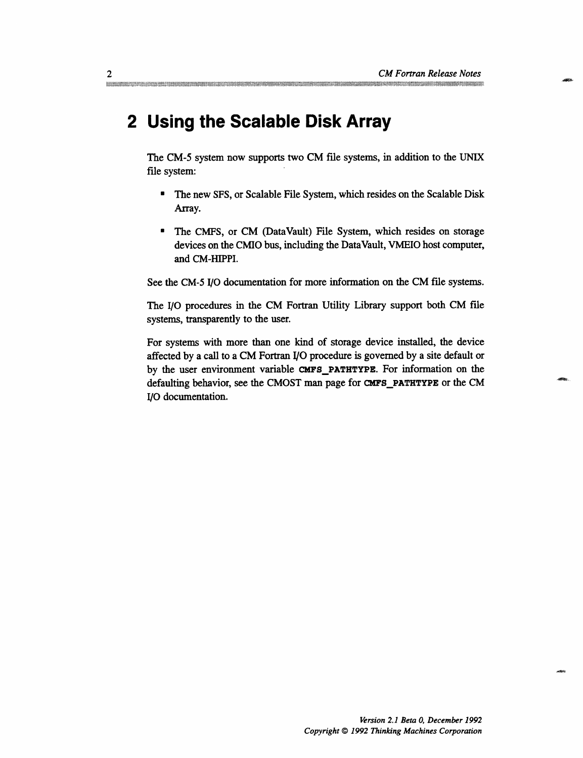2...@ v .2z.. ' ': *CM Fortran ReleaIe Note s* 

## **2 Using the Scalable Disk Array**

The CM-5 system now supports two CM file systems, in addition to the UNIX file system:

- \* The new SFS, or Scalable File System, which resides on the Scalable Disk Array.
- \* The CMFS, or CM (DataVault) File System, which resides on storage devices on the CMIO bus, including the DataVault, VMEIO host computer, and CM-HIPPI.

See the CM-5 I/O documentation for more information on the CM file systems.

The I/O procedures in the CM Fortran Utility Library support both CM file systems, transparently to the user.

For systems with more than one kind of storage device installed, the device affected by a call to a CM Fortran I/O procedure is governed by a site default or by the user environment variable **CMFS\_PATHTYPE.** For information on the defaulting behavior, see the CMOST man page for **CMFS\_PATHTYPE** or the CM I/O documentation.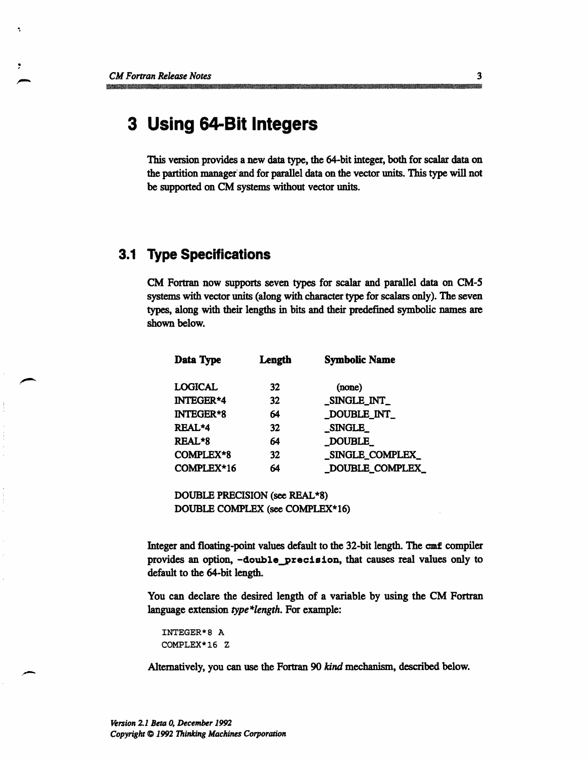$\overline{\mathbf{z}}$ 

## **3 Using 64-Bit Integers**

This version provides a new data type, the 64-bit integer, both for scalar data on the partition manager' and for parallel data on the vector units. This type will not be supported on CM systems without vector units.

## **3.1 Type Specifications**

CM Fortran now supports seven types for scalar and parallel data on CM-5 systems with vector units (along with character type for scalars only). The seven types, along with their lengths in bits and their predefined symbolic names are shown below.

| Data Type        | Length | <b>Symbolic Name</b> |
|------------------|--------|----------------------|
| <b>LOGICAL</b>   | 32     | (none)               |
| <b>INTEGER*4</b> | 32     | SINGLE INT           |
| <b>INTEGER*8</b> | 64     | _DOUBLE_INT          |
| REAL*4           | 32     | <b>SINGLE</b>        |
| REAL*8           | 64     | <b>DOUBLE</b>        |
| COMPLEX*8        | 32     | _SINGLE_COMPLEX_     |
| COMPLEX*16       | 64     | DOUBLE_COMPLEX       |

DOUBLE PRECISION (see REAL\*8) DOUBLE COMPLEX (see COMPLEX\*16)

Integer and floating-point values default to the 32-bit length. The cmf compiler provides an option, -double\_precision, that causes real values only to default to the 64-bit length.

You can declare the desired length of a variable by using the CM Fortran language extension *type \*length.* For example:

```
INTEGER*8 A
COMPLEX*16 Z
```
Alternatively, you can use the Fortran 90 *kind* mechanism, described below.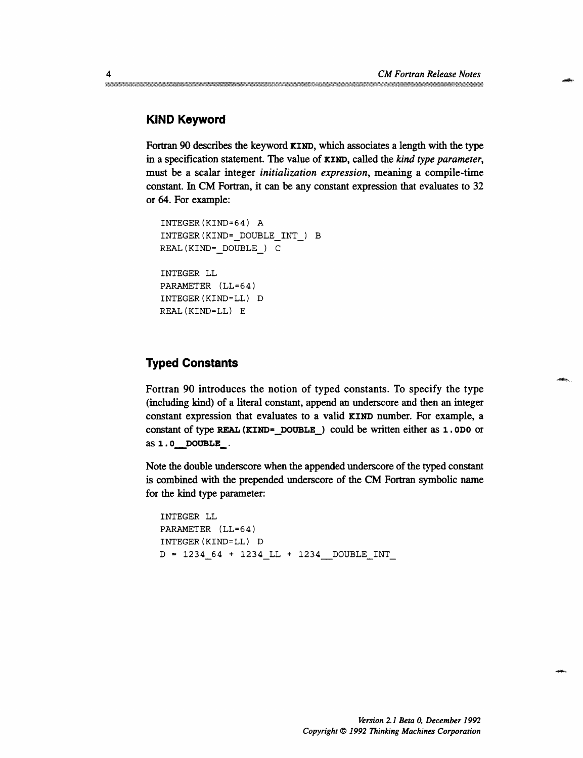### **KIND Keyword**

Fortran 90 describes the keyword **KIND,** which associates a length with the type in a specification statement. The value of **KIND,** called the *kind type parameter,* must be a scalar integer *initialization expression,* meaning a compile-time constant. In CM Fortran, it can be any constant expression that evaluates to 32 or 64. For example:

```
INTEGER(KIND=64) A
INTEGER(KIND=_DOUBLEINT_) B
REAL(KIND=_DOUBLE_) C
INTEGER LL
PARAMETER (LL=64)
INTEGER(KIND=LL) D
REAL(KIND=LL) E
```
#### **Typed Constants**

Fortran 90 introduces the notion of typed constants. To specify the type (including kind) of a literal constant, append an underscore and then an integer constant expression that evaluates to a valid **KIND** number. For example, a constant of type **REAL (KIND=\_DOUBLE\_)** could be written either as 1. **ODO** or as 1. 0 **DOUBLE-.**

Note the double underscore when the appended underscore of the typed constant is combined with the prepended underscore of the CM Fortran symbolic name for the kind type parameter:

```
INTEGER LL
PARAMETER (LL=64)
INTEGER(KIND=LL) D
D = 1234 64 + 1234 LL + 1234 DOUBLE INT
```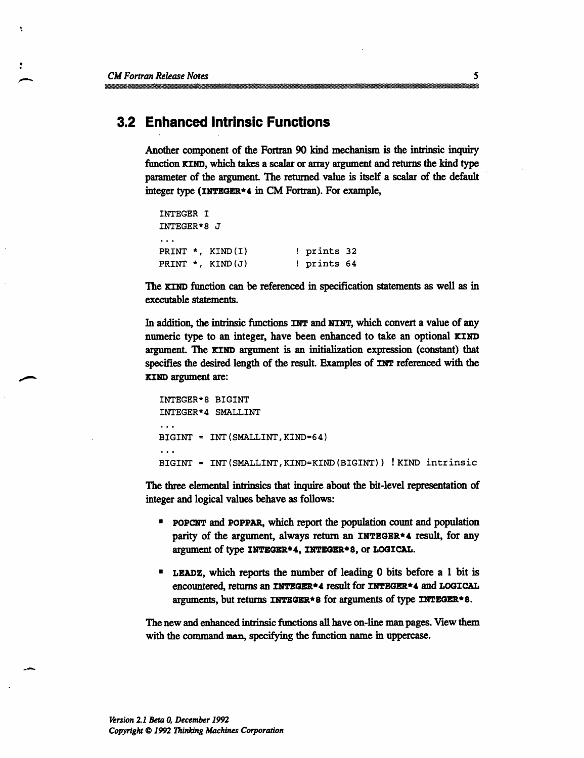۹

## **3.2 Enhanced Intrinsic Functions**

Another component of the Fortran 90 kind mechanism is the intrinsic inquiry function **KIND,** which takes a scalar or array argument and returns the kind type parameter of the argument. The returned value is itself a scalar of the default integer type **(NTGER\*4** in CM Fortran). For example,

```
INTEGER I
INTEGER*8 J
PRINT *, KIND(I) ! prints 32
PRINT *, KIND(J) ! prints 64
```
The **KIND** function can be referenced in specification statements as well as in executable statements.

In addition, the intrinsic functions **INT** and **NINT,** which convert a value of any numeric type to an integer, have been enhanced to take an optional KIND argument. The KIND argument is an initialization expression (constant) that specifies the desired length of the result. Examples of **INT** referenced with the **KIND** argument are:

```
INTEGER*8 BIGINT
INTEGER*4 SMALLINT
\sim \simBIGINT = INT(SMALLINT,KIND=64)
\ddotscBIGINT = INT(SMALLINT,KIND=KIND(BIGINT)) !KIND intrinsic
```
The three elemental intrinsics that inquire about the bit-level representation of integer and logical values behave as follows:

- **\*** POPCNT and **POPPAR,** which report the population count and population parity of the argument, always return an INTEGER\*4 result, for any argument of type **INTEGER\*4, INTEGER\*8,** or **LOGICAL.**
- **\* LEADZ,** which reports the number of leading 0 bits before a 1 bit is encountered, returns an **INTEGER\*4** result for **INTEGER\*4** and **LOGICAL** arguments, but returns **INTEGER\* 8** for arguments of type **INTEGER\*** 8.

The new and enhanced intrinsic functions all have on-line man pages. View them with the command man, specifying the function name in uppercase.